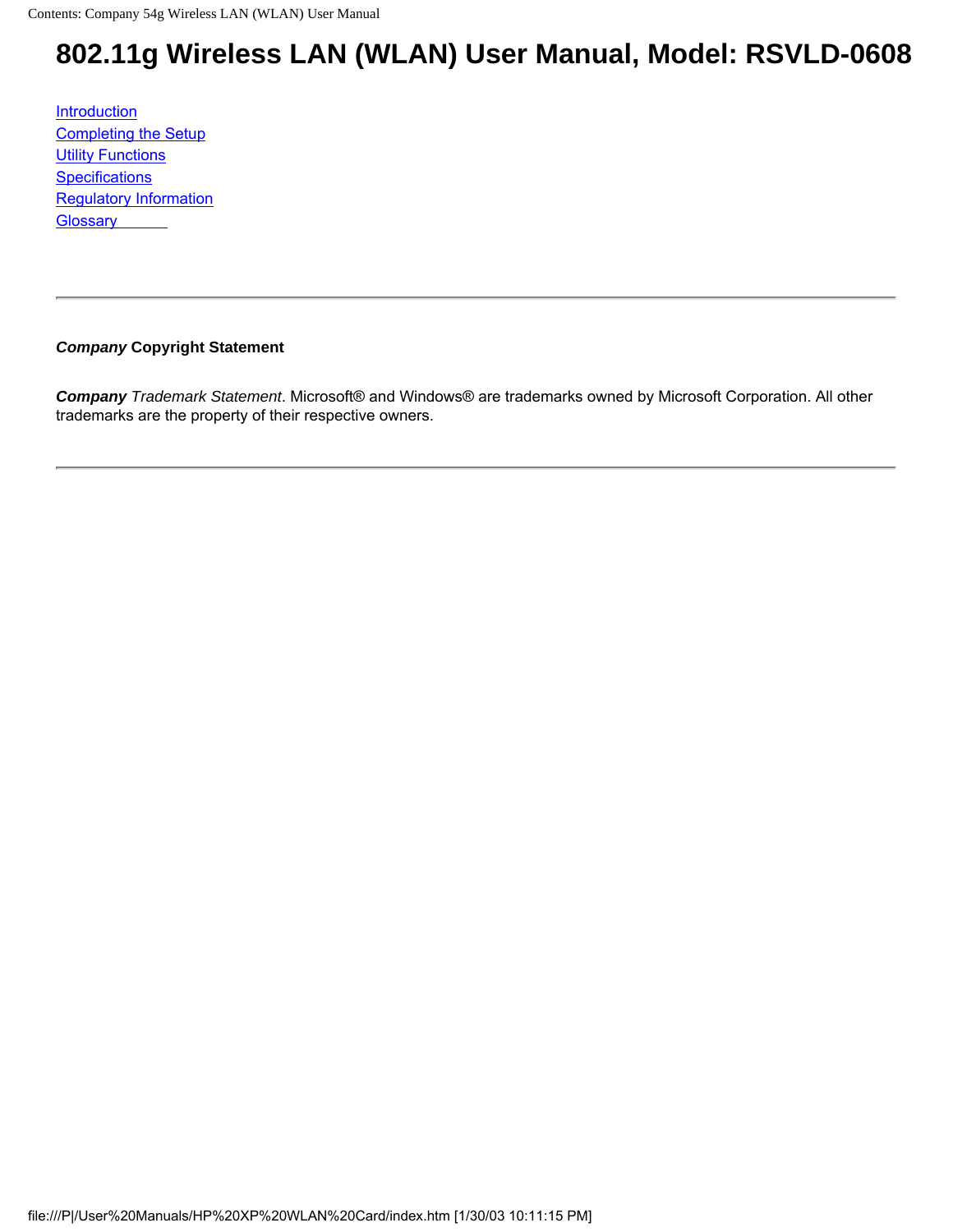# <span id="page-0-0"></span>**802.11g Wireless LAN (WLAN) User Manual, Model: RSVLD-0608**

[Introduction](#page-1-0) [Completing the Setup](#page-4-0) **[Utility Functions](#page-6-0) [Specifications](#page-9-0)** [Regulatory Information](file:///P|/User%20Manuals/HP%20XP%20WLAN%20Card/regs.htm) **[Glossary](file:///P|/User%20Manuals/HP%20XP%20WLAN%20Card/trouble.htm)** 

#### *Company* **Copyright Statement**

*Company Trademark Statement*. Microsoft® and Windows® are trademarks owned by Microsoft Corporation. All other trademarks are the property of their respective owners.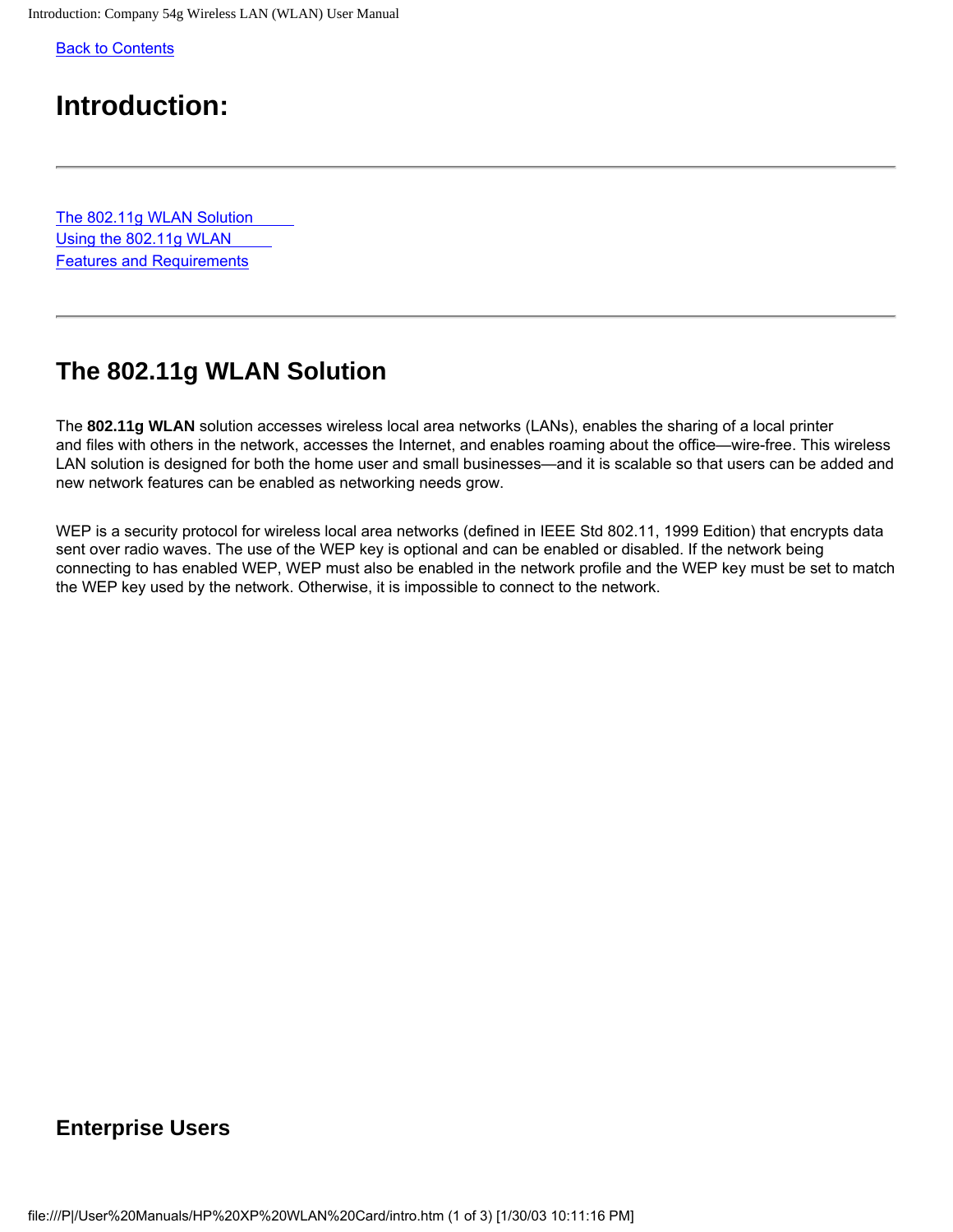<span id="page-1-1"></span><span id="page-1-0"></span>[Back to Contents](#page-0-0)

## **Introduction:**

[The 802.11g WLAN Solution](#page-2-0) [Using the 802.11g WLAN](#page-2-0) [Features and Requirements](#page-2-0)

## <span id="page-1-2"></span>**The 802.11g WLAN Solution**

The **802.11g WLAN** solution accesses wireless local area networks (LANs), enables the sharing of a local printer and files with others in the network, accesses the Internet, and enables roaming about the office—wire-free. This wireless LAN solution is designed for both the home user and small businesses—and it is scalable so that users can be added and new network features can be enabled as networking needs grow.

WEP is a security protocol for wireless local area networks (defined in IEEE Std 802.11, 1999 Edition) that encrypts data sent over radio waves. The use of the WEP key is optional and can be enabled or disabled. If the network being connecting to has enabled WEP, WEP must also be enabled in the network profile and the WEP key must be set to match the WEP key used by the network. Otherwise, it is impossible to connect to the network.

### **Enterprise Users**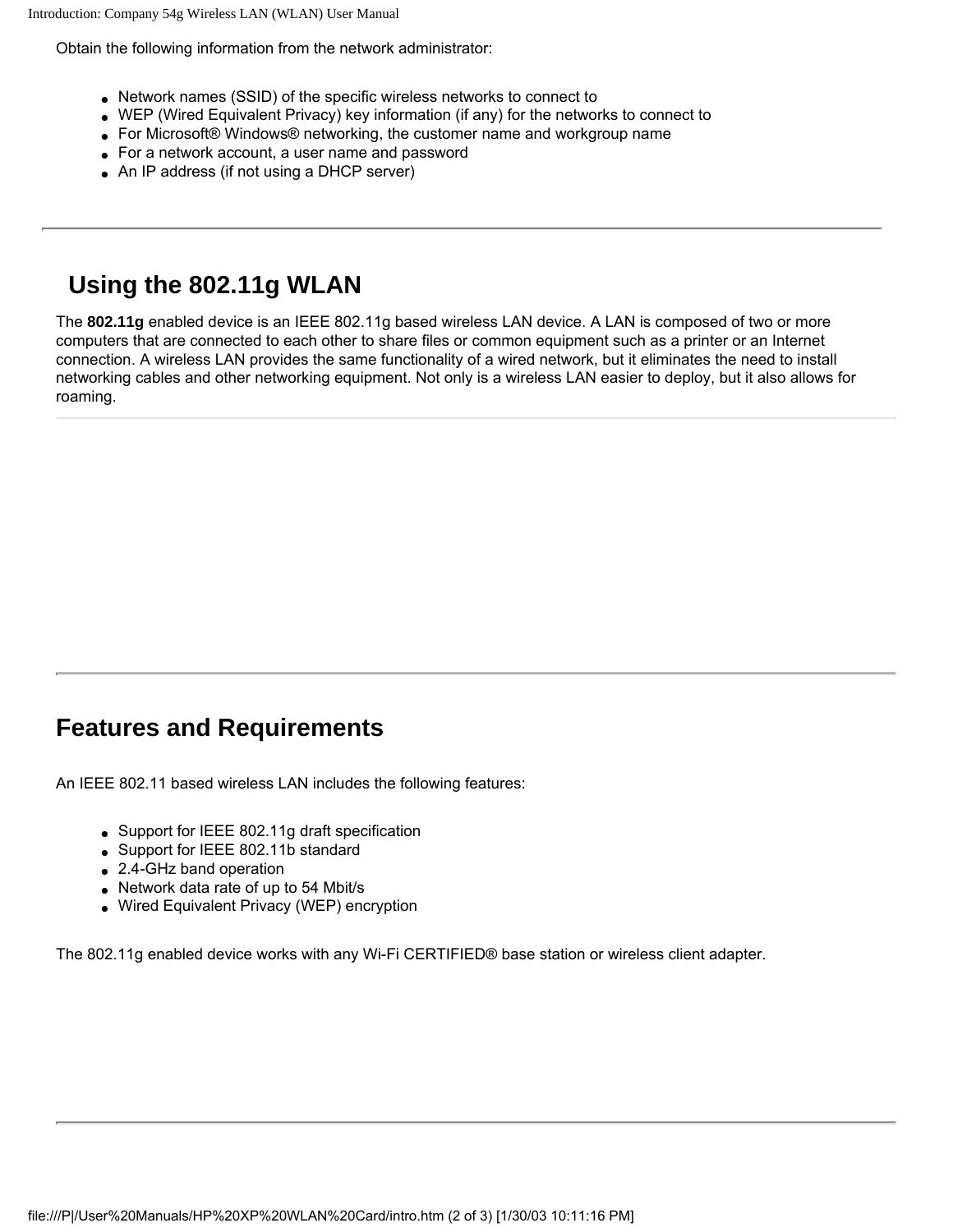Introduction: Company 54g Wireless LAN (WLAN) User Manual

Obtain the following information from the network administrator:

- Network names (SSID) of the specific wireless networks to connect to
- WEP (Wired Equivalent Privacy) key information (if any) for the networks to connect to
- For Microsoft® Windows® networking, the customer name and workgroup name
- For a network account, a user name and password
- An IP address (if not using a DHCP server)

## **Using the 802.11g WLAN**

The **802.11g** enabled device is an IEEE 802.11g based wireless LAN device. A LAN is composed of two or more computers that are connected to each other to share files or common equipment such as a printer or an Internet connection. A wireless LAN provides the same functionality of a wired network, but it eliminates the need to install networking cables and other networking equipment. Not only is a wireless LAN easier to deploy, but it also allows for roaming.

## <span id="page-2-0"></span>**Features and Requirements**

An IEEE 802.11 based wireless LAN includes the following features:

- Support for IEEE 802.11g draft specification
- Support for IEEE 802.11b standard
- 2.4-GHz band operation
- Network data rate of up to 54 Mbit/s
- Wired Equivalent Privacy (WEP) encryption

The 802.11g enabled device works with any Wi-Fi CERTIFIED® base station or wireless client adapter.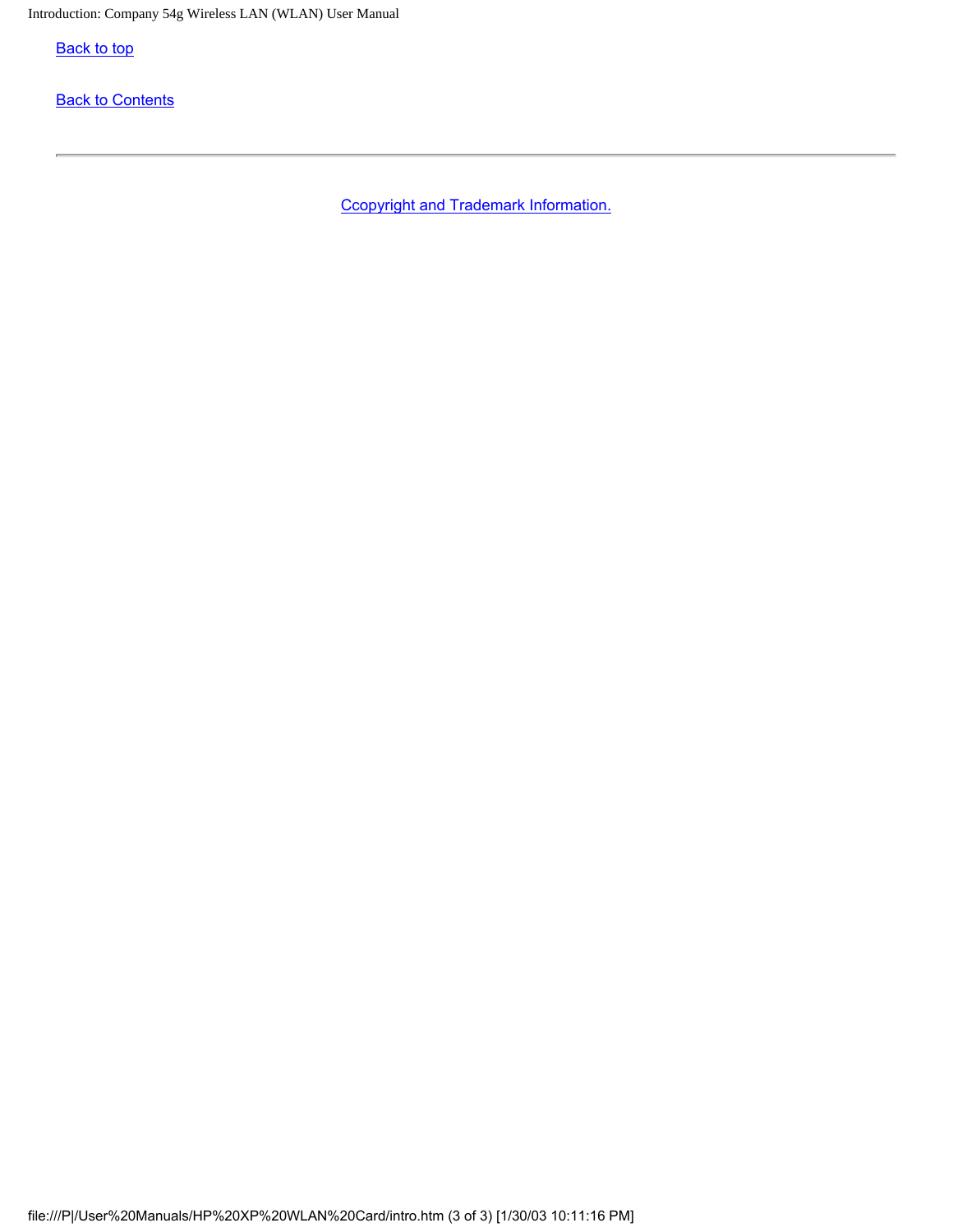**[Back to top](#page-1-1)** 

**[Back to Contents](#page-0-0)** 

Ccopyright and Trademark Information.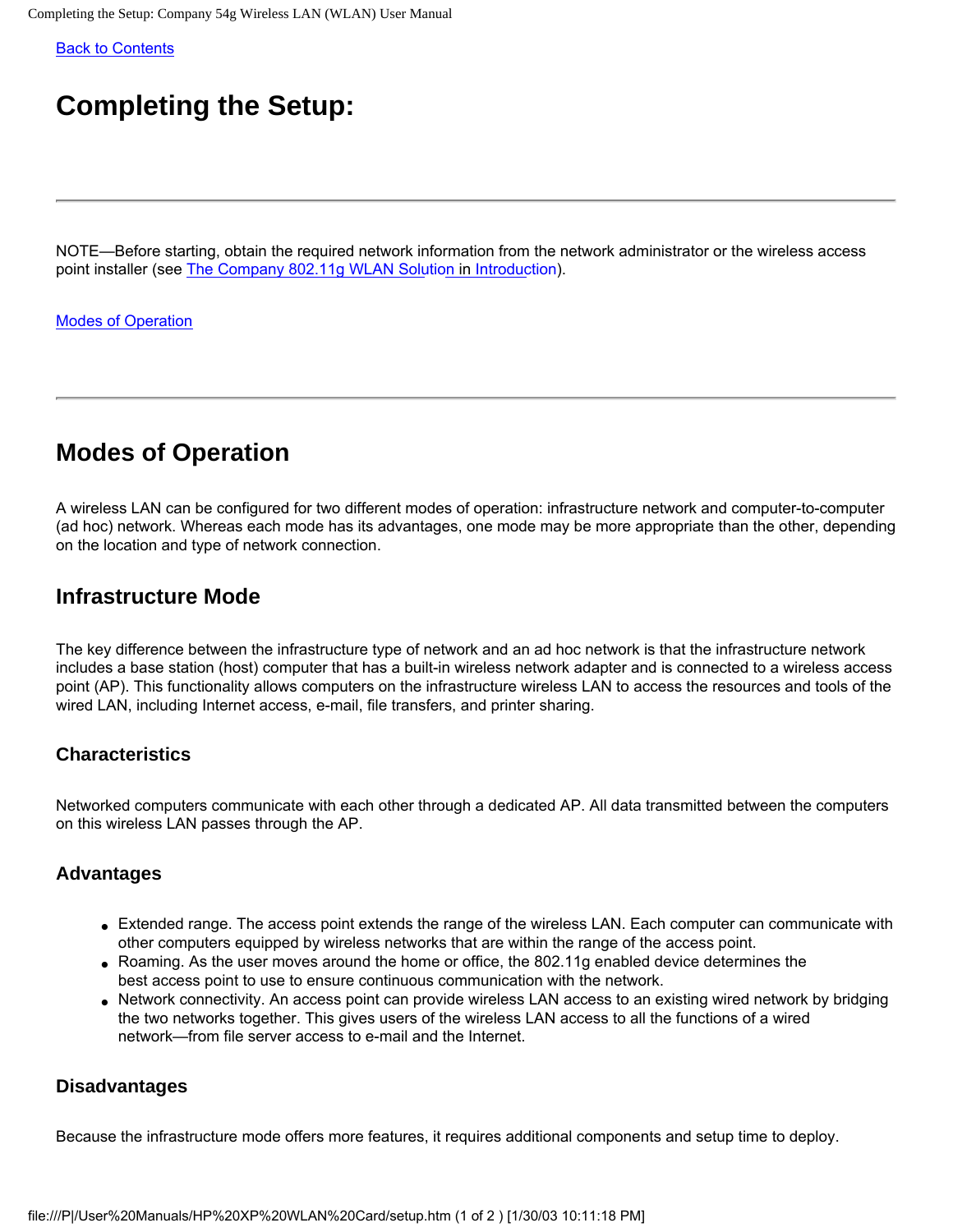<span id="page-4-0"></span>Completing the Setup: Company 54g Wireless LAN (WLAN) User Manual

[Back to Contents](#page-0-0)

# **Completing the Setup:**

NOTE—Before starting, obtain the required network information from the network administrator or the wireless access point installer (see [The Company 802.11g WLAN Solu](#page-1-2)ti[on in Introduc](#page-1-0)tion).

[Modes of Operation](#page-4-1)

## <span id="page-4-1"></span>**Modes of Operation**

A wireless LAN can be configured for two different modes of operation: infrastructure network and computer-to-computer (ad hoc) network. Whereas each mode has its advantages, one mode may be more appropriate than the other, depending on the location and type of network connection.

### **Infrastructure Mode**

The key difference between the infrastructure type of network and an ad hoc network is that the infrastructure network includes a base station (host) computer that has a built-in wireless network adapter and is connected to a wireless access point (AP). This functionality allows computers on the infrastructure wireless LAN to access the resources and tools of the wired LAN, including Internet access, e-mail, file transfers, and printer sharing.

#### **Characteristics**

Networked computers communicate with each other through a dedicated AP. All data transmitted between the computers on this wireless LAN passes through the AP.

#### **Advantages**

- Extended range. The access point extends the range of the wireless LAN. Each computer can communicate with other computers equipped by wireless networks that are within the range of the access point.
- Roaming. As the user moves around the home or office, the 802.11g enabled device determines the best access point to use to ensure continuous communication with the network.
- Network connectivity. An access point can provide wireless LAN access to an existing wired network by bridging the two networks together. This gives users of the wireless LAN access to all the functions of a wired network—from file server access to e-mail and the Internet.

#### **Disadvantages**

Because the infrastructure mode offers more features, it requires additional components and setup time to deploy.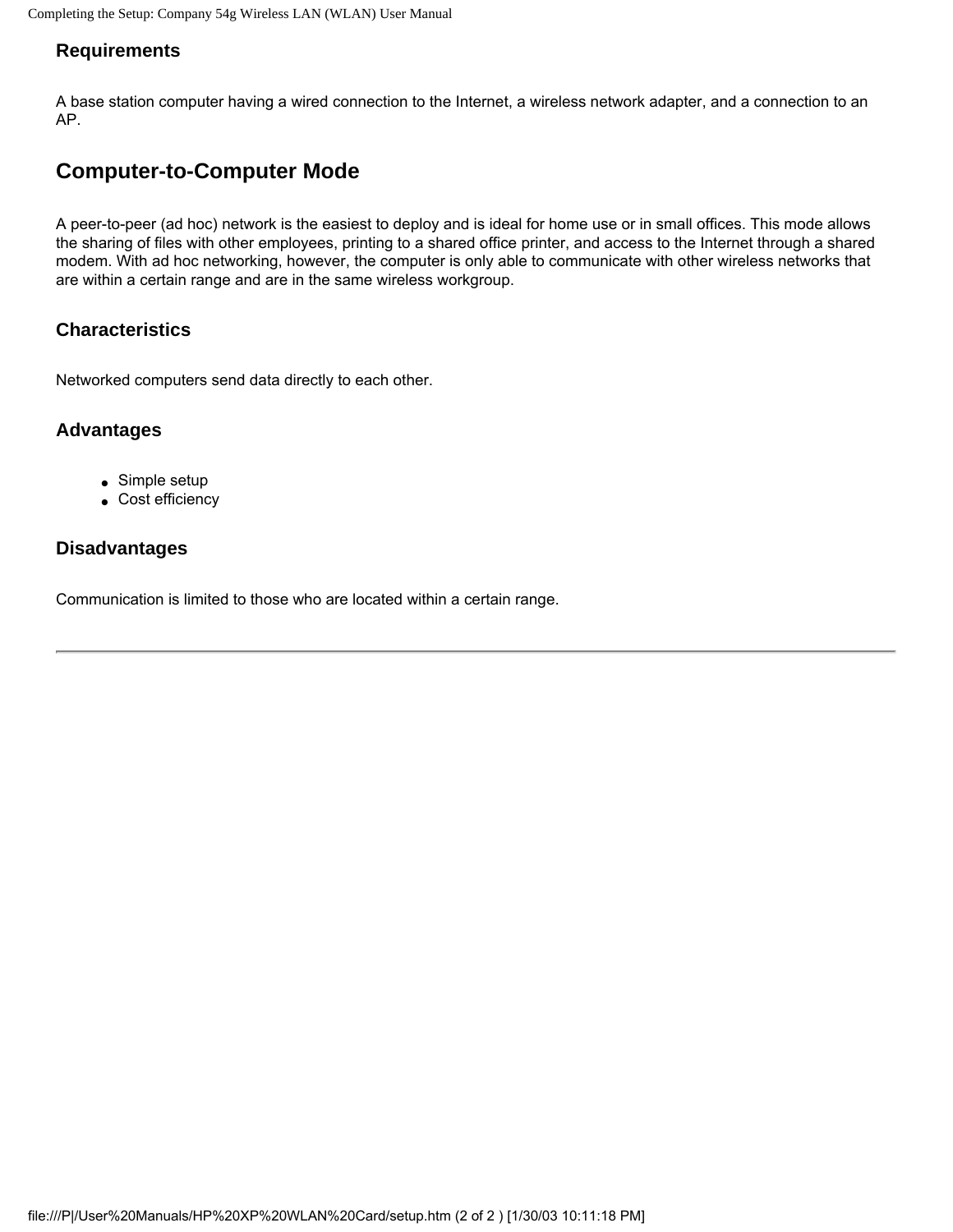#### **Requirements**

A base station computer having a wired connection to the Internet, a wireless network adapter, and a connection to an AP.

### **Computer-to-Computer Mode**

A peer-to-peer (ad hoc) network is the easiest to deploy and is ideal for home use or in small offices. This mode allows the sharing of files with other employees, printing to a shared office printer, and access to the Internet through a shared modem. With ad hoc networking, however, the computer is only able to communicate with other wireless networks that are within a certain range and are in the same wireless workgroup.

#### **Characteristics**

Networked computers send data directly to each other.

#### **Advantages**

- Simple setup
- Cost efficiency

#### **Disadvantages**

Communication is limited to those who are located within a certain range.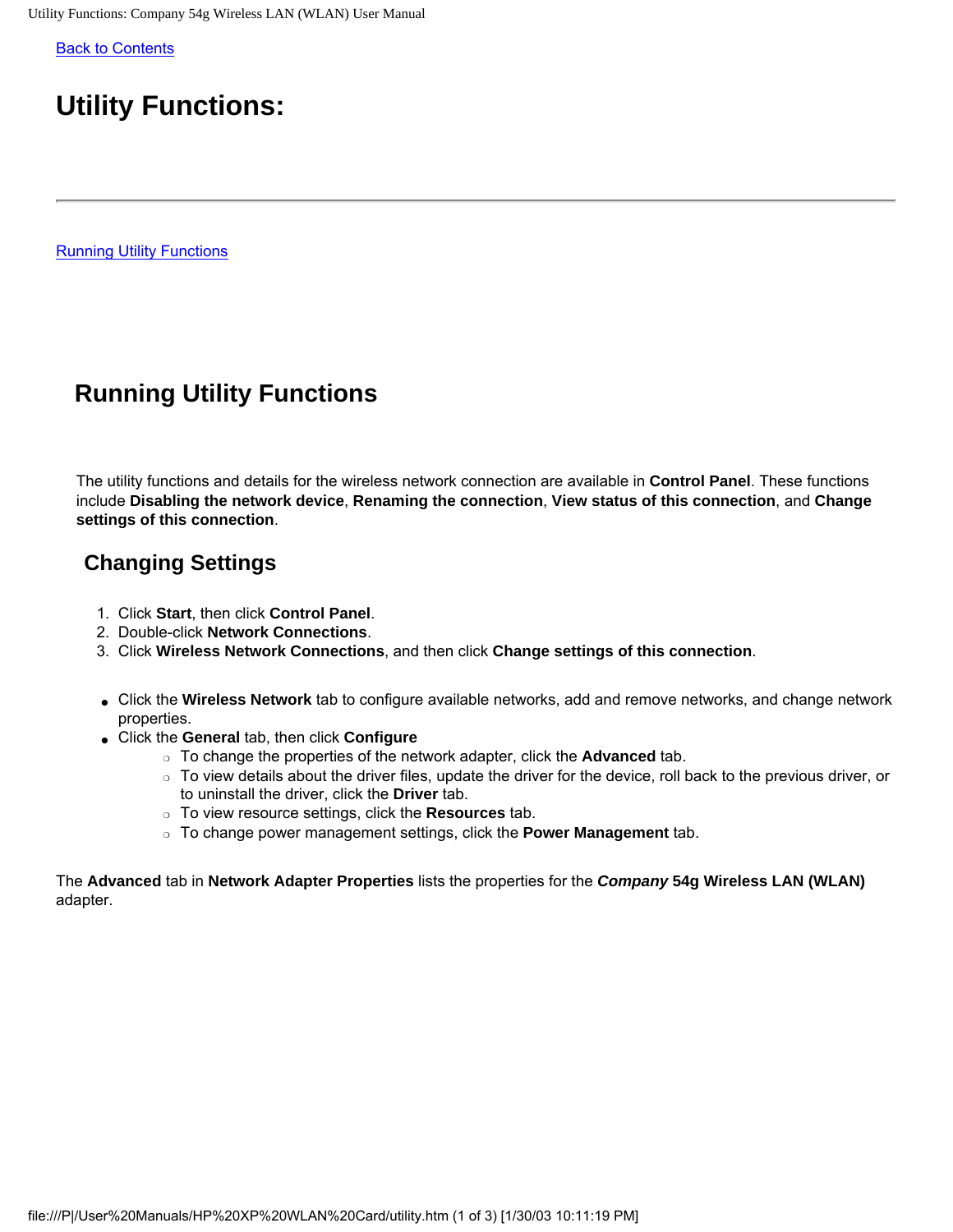<span id="page-6-0"></span>[Back to Contents](#page-0-0)

# **Utility Functions:**

[Running Utility Functions](#page-6-1)

## <span id="page-6-1"></span>**Running Utility Functions**

<span id="page-6-2"></span>The utility functions and details for the wireless network connection are available in **Control Panel**. These functions include **Disabling the network device**, **Renaming the connection**, **View status of this connection**, and **Change settings of this connection**.

### **Changing Settings**

- 1. Click **Start**, then click **Control Panel**.
- 2. Double-click **Network Connections**.
- 3. Click **Wireless Network Connections**, and then click **Change settings of this connection**.
- Click the **Wireless Network** tab to configure available networks, add and remove networks, and change network properties.
- Click the **General** tab, then click **Configure**
	- ❍ To change the properties of the network adapter, click the **Advanced** tab.
	- $\circ$  To view details about the driver files, update the driver for the device, roll back to the previous driver, or to uninstall the driver, click the **Driver** tab.
	- ❍ To view resource settings, click the **Resources** tab.
	- ❍ To change power management settings, click the **Power Management** tab.

The **Advanced** tab in **Network Adapter Properties** lists the properties for the *Company* **54g Wireless LAN (WLAN)** adapter.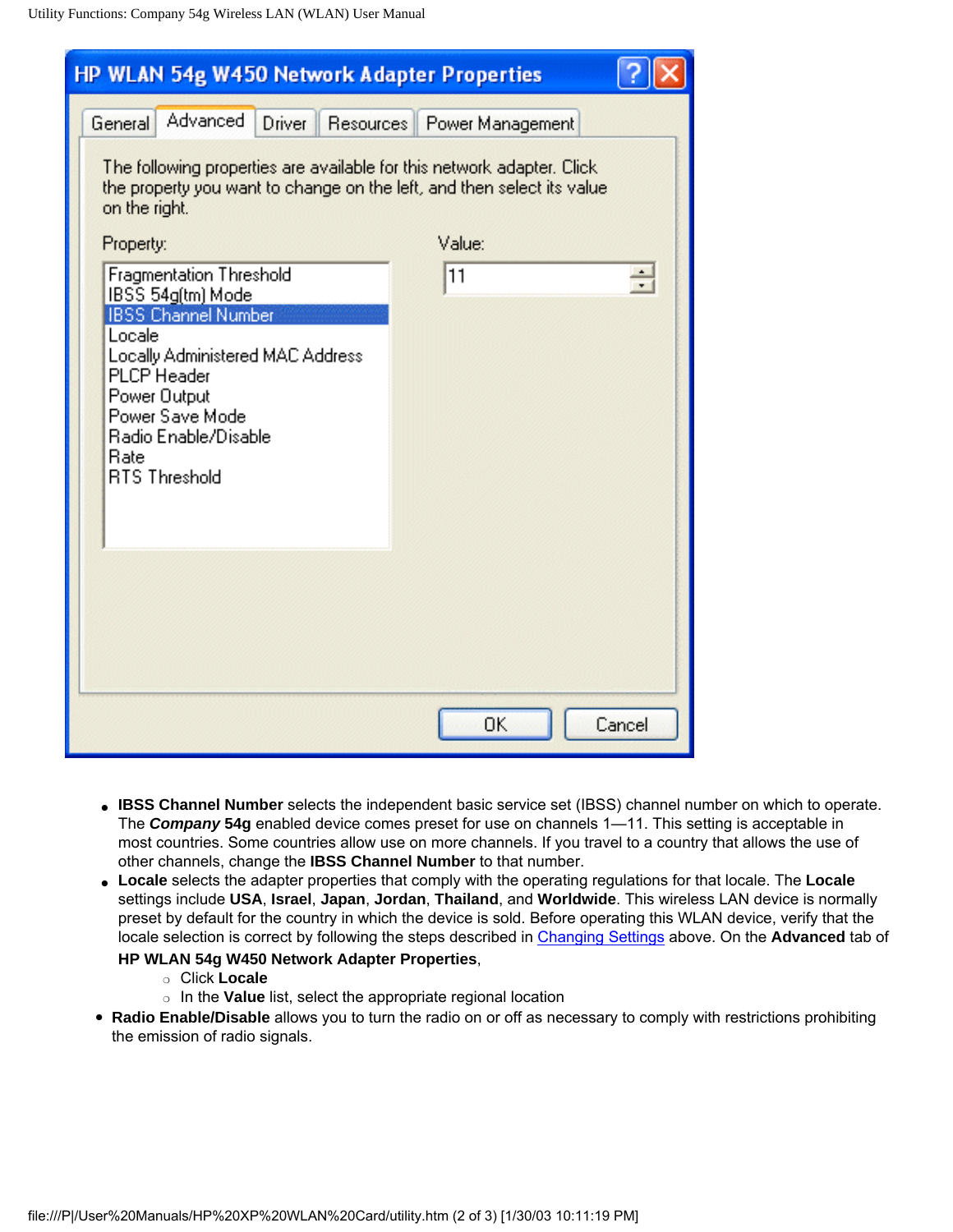| <b>HP WLAN 54g W450 Network Adapter Properties</b>                                                                                                                 |                            |        |
|--------------------------------------------------------------------------------------------------------------------------------------------------------------------|----------------------------|--------|
| Advanced<br><b>Driver</b><br>General                                                                                                                               | Resources Power Management |        |
| The following properties are available for this network adapter. Click<br>the property you want to change on the left, and then select its value<br>on the right.  |                            |        |
| Property:                                                                                                                                                          | Value:                     |        |
| Fragmentation Threshold<br>IBSS 54g(tm) Mode                                                                                                                       | 11                         | ÷      |
| <b>IBSS Channel Number</b>                                                                                                                                         |                            |        |
| Locale<br><b>Locally Administered MAC Address</b><br><b>PLCP</b> Header<br>Power Output<br>Power Save Mode<br>Radio Enable/Disable<br>Rate<br><b>RTS Threshold</b> |                            |        |
|                                                                                                                                                                    |                            |        |
|                                                                                                                                                                    | OK                         | Cancel |

- **IBSS Channel Number** selects the independent basic service set (IBSS) channel number on which to operate. The *Company* **54g** enabled device comes preset for use on channels 1—11. This setting is acceptable in most countries. Some countries allow use on more channels. If you travel to a country that allows the use of other channels, change the **IBSS Channel Number** to that number.
- **Locale** selects the adapter properties that comply with the operating regulations for that locale. The **Locale** settings include **USA**, **Israel**, **Japan**, **Jordan**, **Thailand**, and **Worldwide**. This wireless LAN device is normally preset by default for the country in which the device is sold. Before operating this WLAN device, verify that the locale selection is correct by following the steps described in [Changing Settings](#page-6-2) above. On the **Advanced** tab of

#### **HP WLAN 54g W450 Network Adapter Properties**,

- ❍ Click **Locale**
- ❍ In the **Value** list, select the appropriate regional location
- **Radio Enable/Disable** allows you to turn the radio on or off as necessary to comply with restrictions prohibiting the emission of radio signals.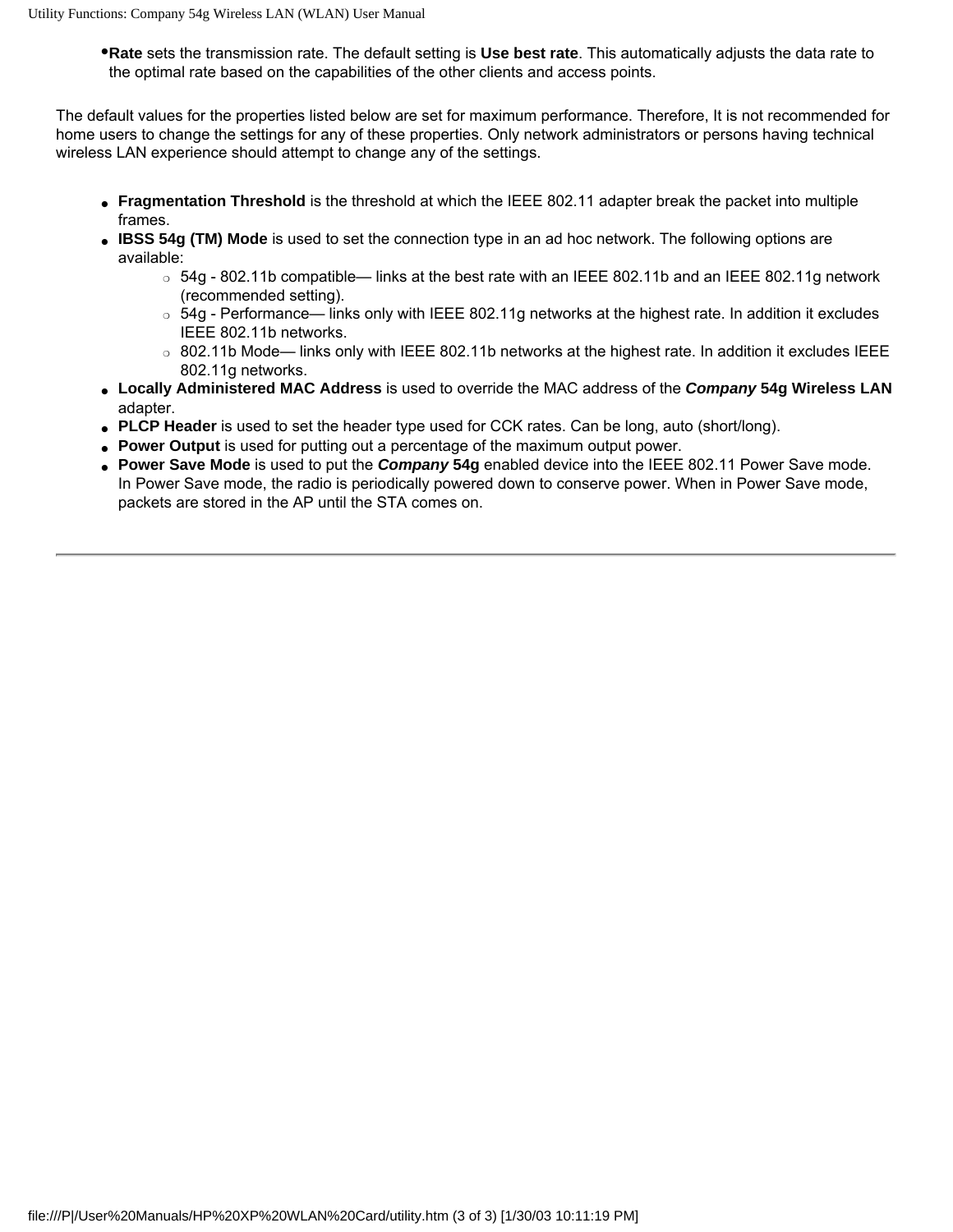● **Rate** sets the transmission rate. The default setting is **Use best rate**. This automatically adjusts the data rate to the optimal rate based on the capabilities of the other clients and access points.

The default values for the properties listed below are set for maximum performance. Therefore, It is not recommended for home users to change the settings for any of these properties. Only network administrators or persons having technical wireless LAN experience should attempt to change any of the settings.

- **Fragmentation Threshold** is the threshold at which the IEEE 802.11 adapter break the packet into multiple frames.
- **IBSS 54g (TM) Mode** is used to set the connection type in an ad hoc network. The following options are available:
	- $\circ$  54g 802.11b compatible— links at the best rate with an IEEE 802.11b and an IEEE 802.11g network (recommended setting).
	- ❍ 54g Performance— links only with IEEE 802.11g networks at the highest rate. In addition it excludes IEEE 802.11b networks.
	- ❍ 802.11b Mode— links only with IEEE 802.11b networks at the highest rate. In addition it excludes IEEE 802.11g networks.
- **Locally Administered MAC Address** is used to override the MAC address of the *Company* **54g Wireless LAN** adapter.
- **PLCP Header** is used to set the header type used for CCK rates. Can be long, auto (short/long).
- Power Output is used for putting out a percentage of the maximum output power.
- **Power Save Mode** is used to put the *Company* 54g enabled device into the IEEE 802.11 Power Save mode. In Power Save mode, the radio is periodically powered down to conserve power. When in Power Save mode, packets are stored in the AP until the STA comes on.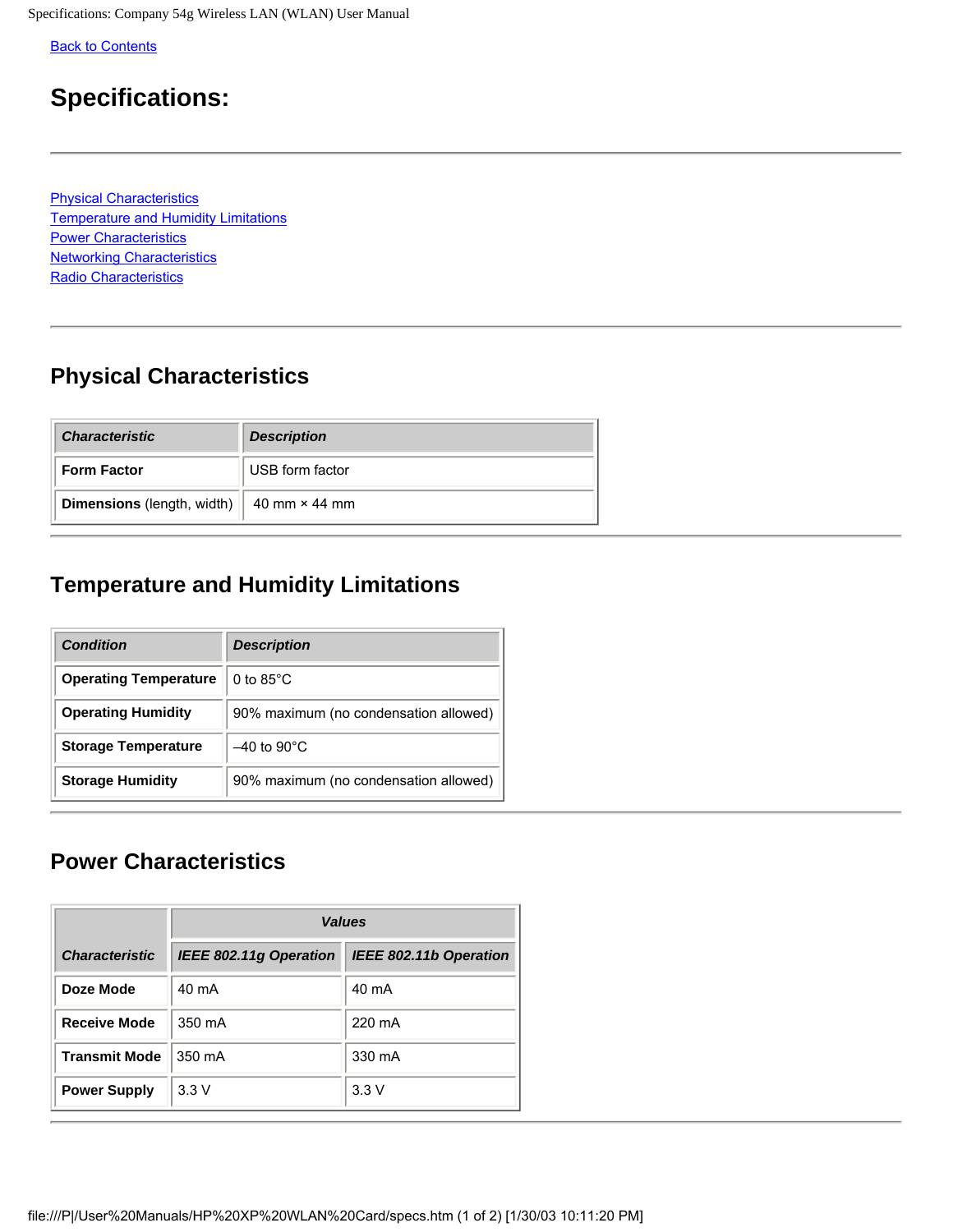<span id="page-9-0"></span>Specifications: Company 54g Wireless LAN (WLAN) User Manual

**[Back to Contents](#page-0-0)** 

## **Specifications:**

Physical Characteristics Temperature and Humidity Limitations **Power Characteristics Networking Characteristics** [Radio Characteristics](#page-9-0)

## **Physical Characteristics**

| <b>Characteristic</b>             | <b>Description</b>   |
|-----------------------------------|----------------------|
| <b>Form Factor</b>                | USB form factor      |
| <b>Dimensions</b> (length, width) | 40 mm $\times$ 44 mm |

## **Temperature and Humidity Limitations**

| <b>Condition</b>             | <b>Description</b>                    |
|------------------------------|---------------------------------------|
| <b>Operating Temperature</b> | 0 to $85^{\circ}$ C                   |
| <b>Operating Humidity</b>    | 90% maximum (no condensation allowed) |
| <b>Storage Temperature</b>   | $-40$ to $90^{\circ}$ C               |
| <b>Storage Humidity</b>      | 90% maximum (no condensation allowed) |

### **Power Characteristics**

|                       | <b>Values</b>                 |                               |
|-----------------------|-------------------------------|-------------------------------|
| <b>Characteristic</b> | <b>IEEE 802.11g Operation</b> | <b>IEEE 802.11b Operation</b> |
| Doze Mode             | 40 mA                         | 40 mA                         |
| <b>Receive Mode</b>   | 350 mA                        | 220 mA                        |
| <b>Transmit Mode</b>  | 350 mA                        | 330 mA                        |
| <b>Power Supply</b>   | 3.3V                          | 3.3V                          |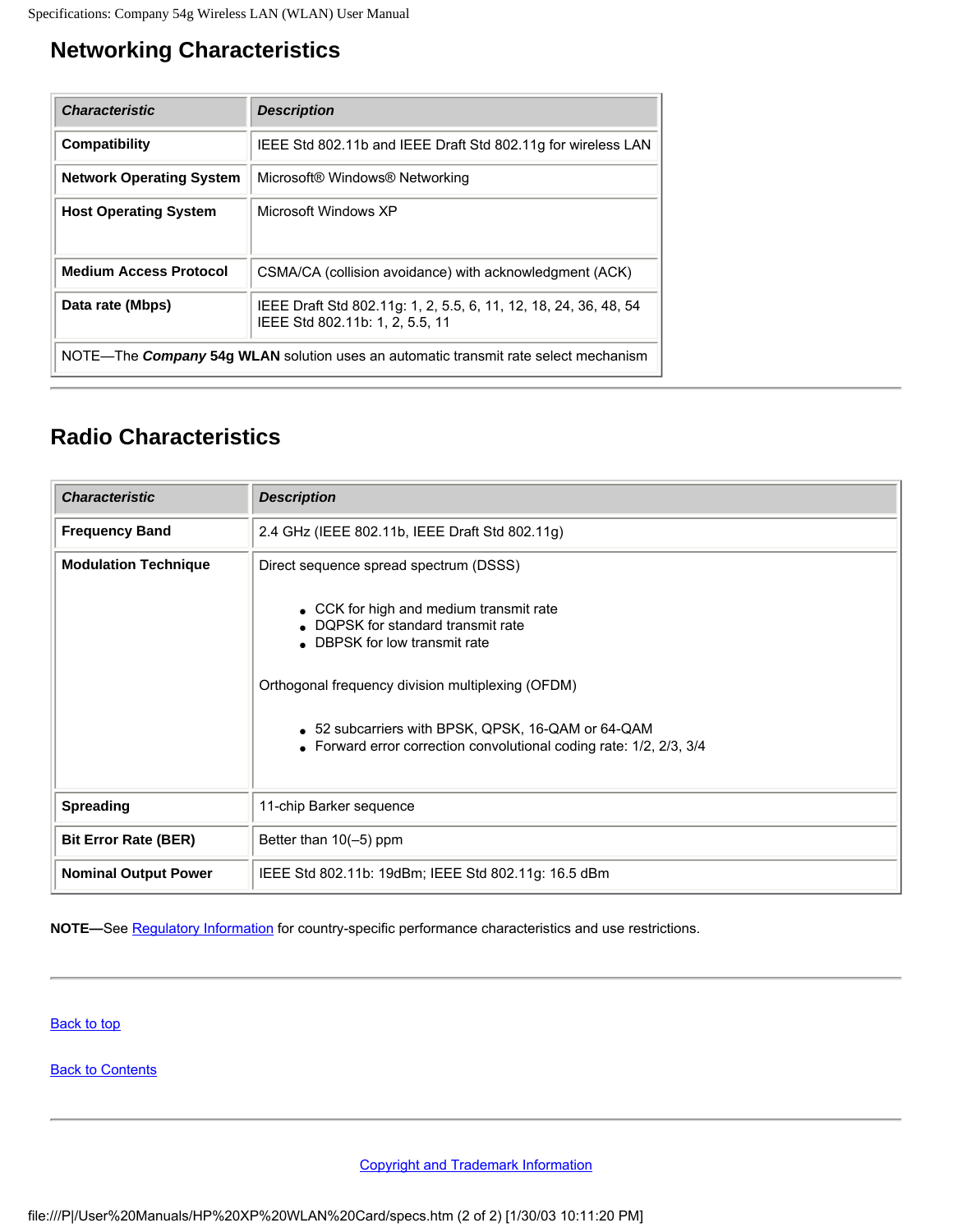## **Networking Characteristics**

| <b>Characteristic</b>                                                               | <b>Description</b>                                                                                  |
|-------------------------------------------------------------------------------------|-----------------------------------------------------------------------------------------------------|
| Compatibility                                                                       | IEEE Std 802.11b and IEEE Draft Std 802.11g for wireless LAN                                        |
| <b>Network Operating System</b>                                                     | Microsoft® Windows® Networking                                                                      |
| <b>Host Operating System</b>                                                        | Microsoft Windows XP                                                                                |
| <b>Medium Access Protocol</b>                                                       | CSMA/CA (collision avoidance) with acknowledgment (ACK)                                             |
| Data rate (Mbps)                                                                    | IEEE Draft Std 802.11g: 1, 2, 5.5, 6, 11, 12, 18, 24, 36, 48, 54<br>IEEE Std 802.11b: 1, 2, 5.5, 11 |
| NOTE—The Company 54g WLAN solution uses an automatic transmit rate select mechanism |                                                                                                     |

### **Radio Characteristics**

| <b>Characteristic</b>       | <b>Description</b>                                                                                                                                                                                                                                                                               |
|-----------------------------|--------------------------------------------------------------------------------------------------------------------------------------------------------------------------------------------------------------------------------------------------------------------------------------------------|
| <b>Frequency Band</b>       | 2.4 GHz (IEEE 802.11b, IEEE Draft Std 802.11g)                                                                                                                                                                                                                                                   |
| <b>Modulation Technique</b> | Direct sequence spread spectrum (DSSS)                                                                                                                                                                                                                                                           |
|                             | • CCK for high and medium transmit rate<br>• DQPSK for standard transmit rate<br>• DBPSK for low transmit rate<br>Orthogonal frequency division multiplexing (OFDM)<br>• 52 subcarriers with BPSK, QPSK, 16-QAM or 64-QAM<br>• Forward error correction convolutional coding rate: 1/2, 2/3, 3/4 |
| <b>Spreading</b>            | 11-chip Barker sequence                                                                                                                                                                                                                                                                          |
| <b>Bit Error Rate (BER)</b> | Better than 10(-5) ppm                                                                                                                                                                                                                                                                           |
| <b>Nominal Output Power</b> | IEEE Std 802.11b: 19dBm; IEEE Std 802.11g: 16.5 dBm                                                                                                                                                                                                                                              |

**NOTE—**See [Regulatory Information](file:///P|/User%20Manuals/HP%20XP%20WLAN%20Card/regs.htm) for country-specific performance characteristics and use restrictions.

**Back to top** 

**[Back to Contents](#page-0-0)**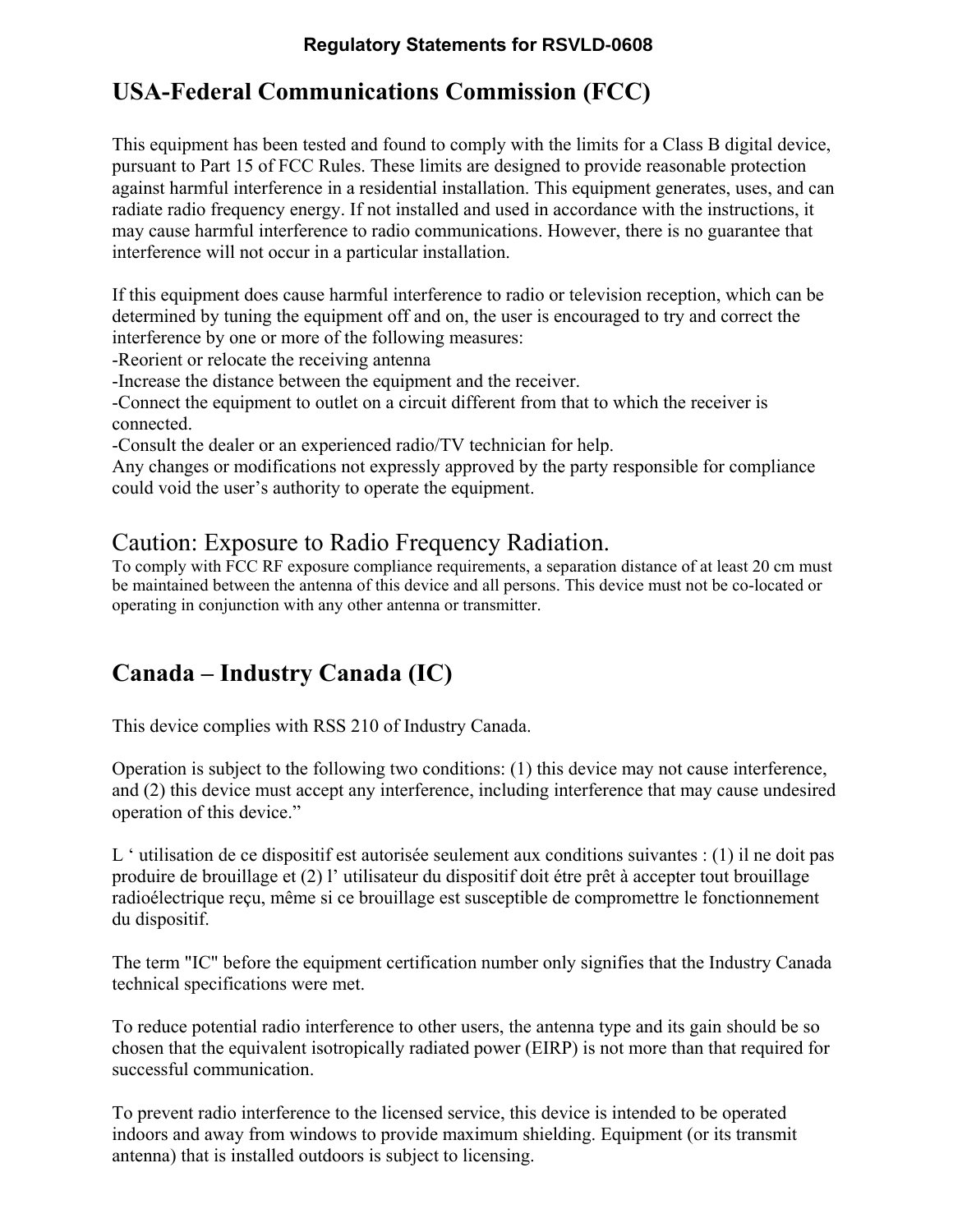#### **Regulatory Statements for RSVLD-0608**

## **USA-Federal Communications Commission (FCC)**

This equipment has been tested and found to comply with the limits for a Class B digital device, pursuant to Part 15 of FCC Rules. These limits are designed to provide reasonable protection against harmful interference in a residential installation. This equipment generates, uses, and can radiate radio frequency energy. If not installed and used in accordance with the instructions, it may cause harmful interference to radio communications. However, there is no guarantee that interference will not occur in a particular installation.

If this equipment does cause harmful interference to radio or television reception, which can be determined by tuning the equipment off and on, the user is encouraged to try and correct the interference by one or more of the following measures:

-Reorient or relocate the receiving antenna

-Increase the distance between the equipment and the receiver.

-Connect the equipment to outlet on a circuit different from that to which the receiver is connected.

-Consult the dealer or an experienced radio/TV technician for help.

Any changes or modifications not expressly approved by the party responsible for compliance could void the user's authority to operate the equipment.

### Caution: Exposure to Radio Frequency Radiation.

To comply with FCC RF exposure compliance requirements, a separation distance of at least 20 cm must be maintained between the antenna of this device and all persons. This device must not be co-located or operating in conjunction with any other antenna or transmitter.

## **Canada – Industry Canada (IC)**

This device complies with RSS 210 of Industry Canada.

Operation is subject to the following two conditions: (1) this device may not cause interference, and (2) this device must accept any interference, including interference that may cause undesired operation of this device."

L ' utilisation de ce dispositif est autorisée seulement aux conditions suivantes : (1) il ne doit pas produire de brouillage et (2) l' utilisateur du dispositif doit étre prêt à accepter tout brouillage radioélectrique reçu, même si ce brouillage est susceptible de compromettre le fonctionnement du dispositif.

The term "IC" before the equipment certification number only signifies that the Industry Canada technical specifications were met.

To reduce potential radio interference to other users, the antenna type and its gain should be so chosen that the equivalent isotropically radiated power (EIRP) is not more than that required for successful communication.

To prevent radio interference to the licensed service, this device is intended to be operated indoors and away from windows to provide maximum shielding. Equipment (or its transmit antenna) that is installed outdoors is subject to licensing.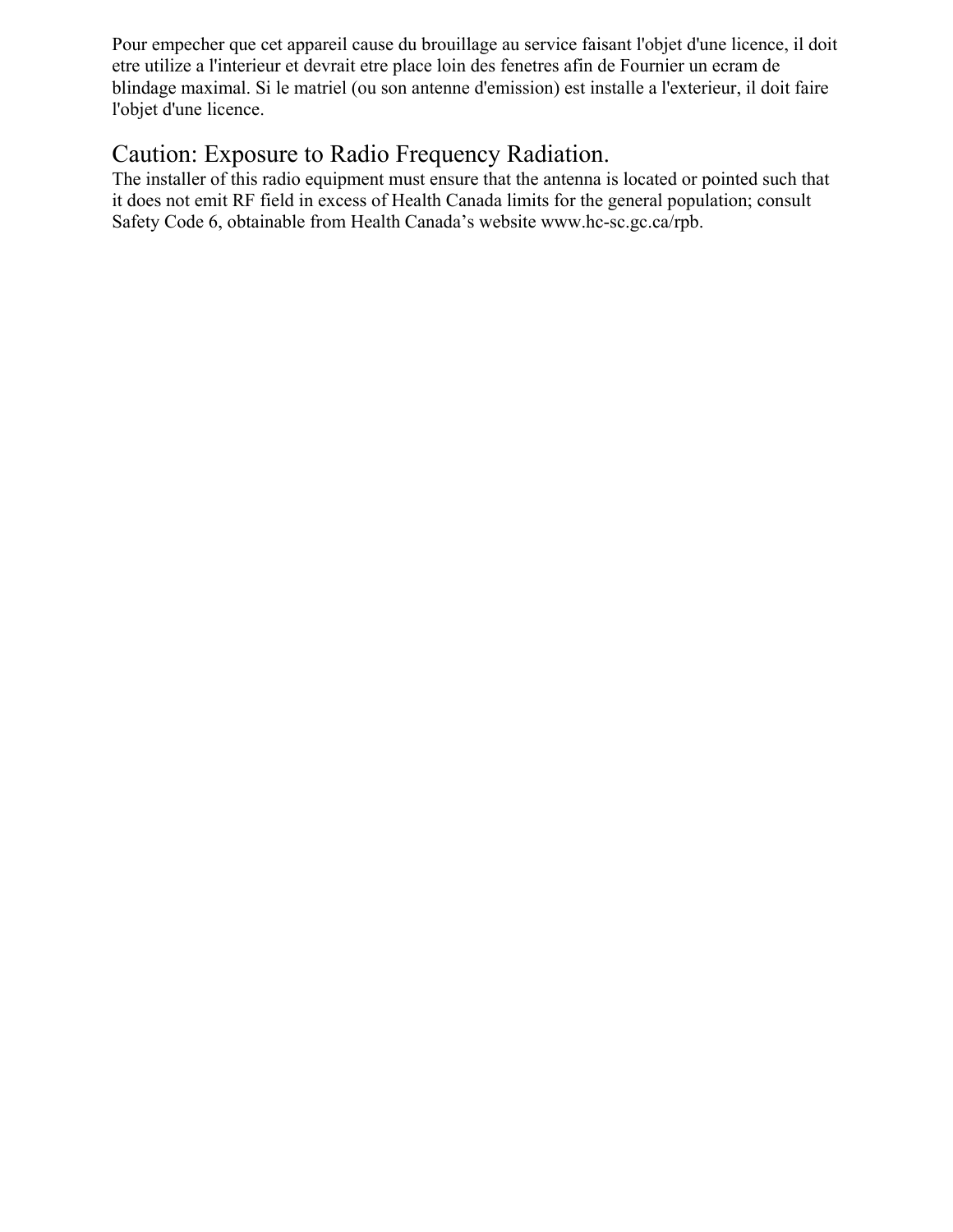Pour empecher que cet appareil cause du brouillage au service faisant l'objet d'une licence, il doit etre utilize a l'interieur et devrait etre place loin des fenetres afin de Fournier un ecram de blindage maximal. Si le matriel (ou son antenne d'emission) est installe a l'exterieur, il doit faire l'objet d'une licence.

### Caution: Exposure to Radio Frequency Radiation.

The installer of this radio equipment must ensure that the antenna is located or pointed such that it does not emit RF field in excess of Health Canada limits for the general population; consult Safety Code 6, obtainable from Health Canada's website www.hc-sc.gc.ca/rpb.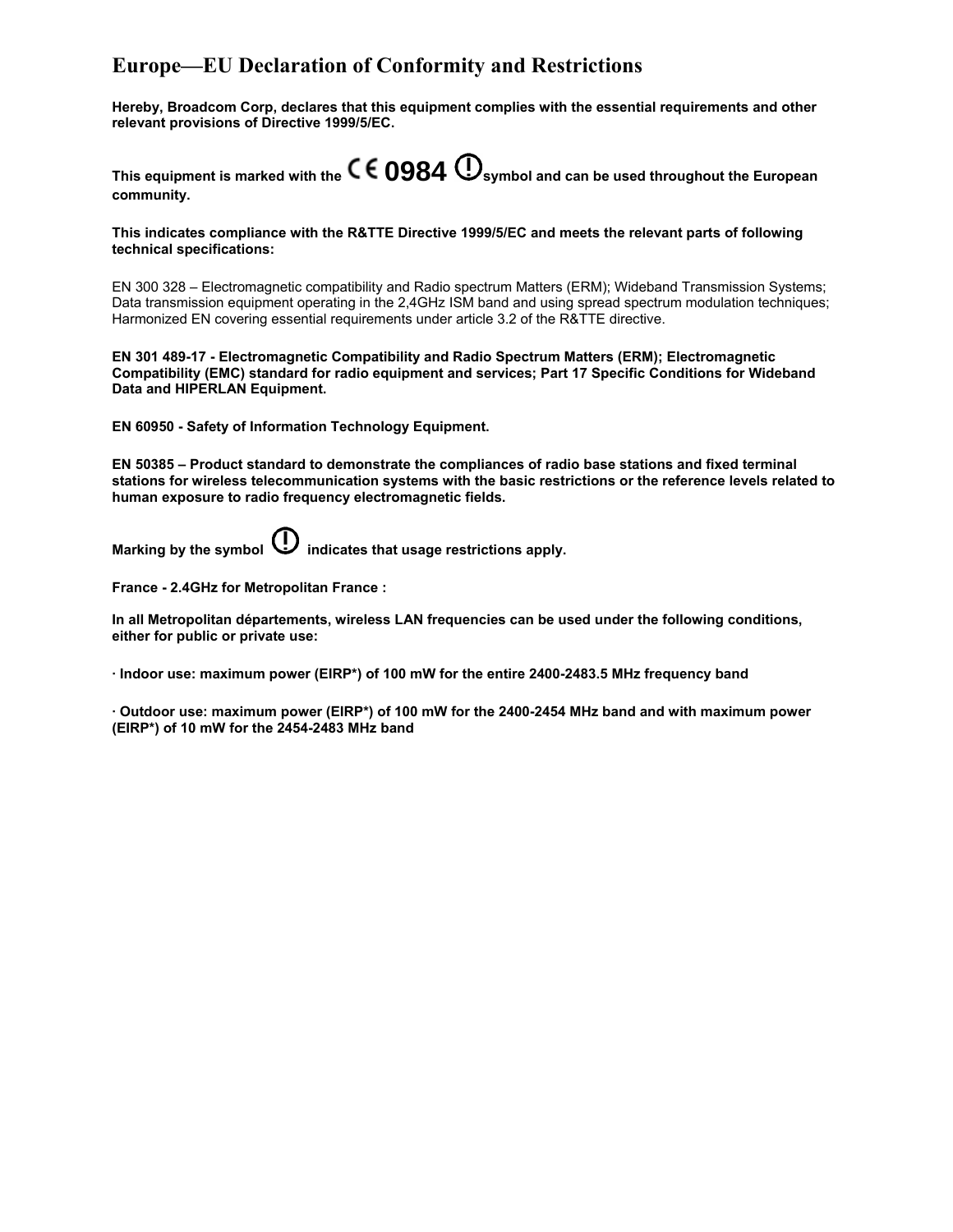#### **Europe—EU Declaration of Conformity and Restrictions**

**Hereby, Broadcom Corp, declares that this equipment complies with the essential requirements and other relevant provisions of Directive 1999/5/EC.** 

This equipment is marked with the  $\mathsf{cc}$  **0984**  $\mathbb{O}_{\mathsf{symbol}}$  and can be used throughout the European **community.** 

**This indicates compliance with the R&TTE Directive 1999/5/EC and meets the relevant parts of following technical specifications:** 

EN 300 328 – Electromagnetic compatibility and Radio spectrum Matters (ERM); Wideband Transmission Systems; Data transmission equipment operating in the 2,4GHz ISM band and using spread spectrum modulation techniques; Harmonized EN covering essential requirements under article 3.2 of the R&TTE directive.

**EN 301 489-17 - Electromagnetic Compatibility and Radio Spectrum Matters (ERM); Electromagnetic Compatibility (EMC) standard for radio equipment and services; Part 17 Specific Conditions for Wideband Data and HIPERLAN Equipment.** 

**EN 60950 - Safety of Information Technology Equipment.** 

**EN 50385 – Product standard to demonstrate the compliances of radio base stations and fixed terminal stations for wireless telecommunication systems with the basic restrictions or the reference levels related to human exposure to radio frequency electromagnetic fields.** 

**Marking by the symbol**  $\bigcup$  **indicates that usage restrictions apply.** 

**France - 2.4GHz for Metropolitan France :** 

**In all Metropolitan départements, wireless LAN frequencies can be used under the following conditions, either for public or private use:** 

**· Indoor use: maximum power (EIRP\*) of 100 mW for the entire 2400-2483.5 MHz frequency band** 

**· Outdoor use: maximum power (EIRP\*) of 100 mW for the 2400-2454 MHz band and with maximum power (EIRP\*) of 10 mW for the 2454-2483 MHz band**